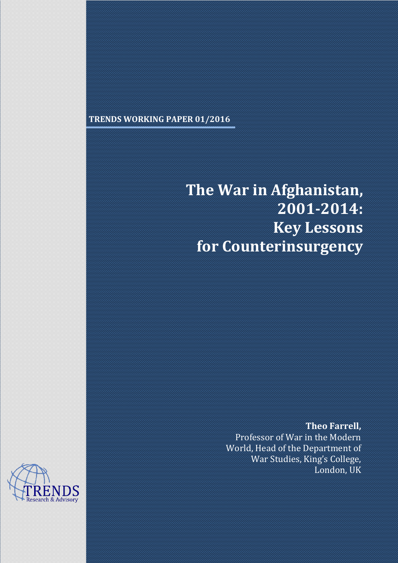# **TRENDS WORKING PAPER 01/2016**

# **The War in Afghanistan, 2001-2014: Key Lessons for Counterinsurgency**

#### **Theo Farrell,**

Professor of War in the Modern World, Head of the Department of War Studies, King's College, London, UK

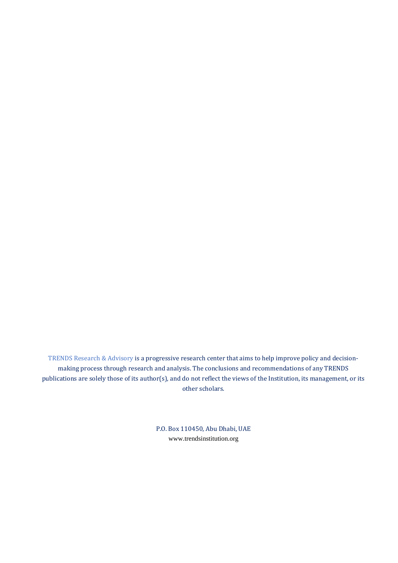TRENDS Research & Advisory is a progressive research center that aims to help improve policy and decisionmaking process through research and analysis. The conclusions and recommendations of any TRENDS publications are solely those of its author(s), and do not reflect the views of the Institution, its management, or its other scholars.

> P.O. Box 110450, Abu Dhabi, UAE [www.trendsinstitution.org](http://www.trendsinstitution.org/)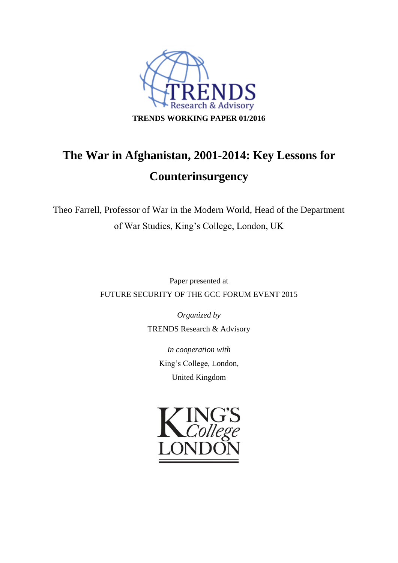

# **The War in Afghanistan, 2001-2014: Key Lessons for Counterinsurgency**

Theo Farrell, Professor of War in the Modern World, Head of the Department of War Studies, King's College, London, UK

> Paper presented at FUTURE SECURITY OF THE GCC FORUM EVENT 2015

> > *Organized by* TRENDS Research & Advisory

> > > *In cooperation with* King's College, London, United Kingdom

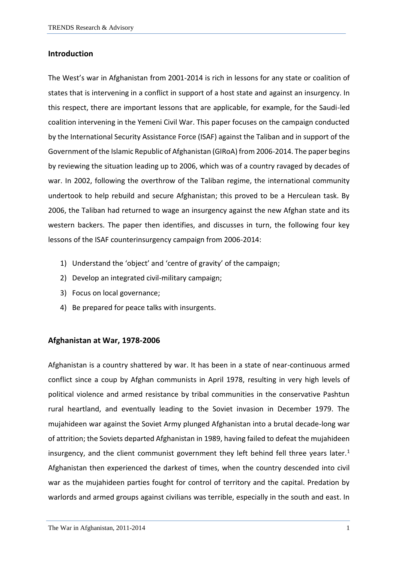#### **Introduction**

The West's war in Afghanistan from 2001-2014 is rich in lessons for any state or coalition of states that is intervening in a conflict in support of a host state and against an insurgency. In this respect, there are important lessons that are applicable, for example, for the Saudi-led coalition intervening in the Yemeni Civil War. This paper focuses on the campaign conducted by the International Security Assistance Force (ISAF) against the Taliban and in support of the Government of the Islamic Republic of Afghanistan (GIRoA) from 2006-2014. The paper begins by reviewing the situation leading up to 2006, which was of a country ravaged by decades of war. In 2002, following the overthrow of the Taliban regime, the international community undertook to help rebuild and secure Afghanistan; this proved to be a Herculean task. By 2006, the Taliban had returned to wage an insurgency against the new Afghan state and its western backers. The paper then identifies, and discusses in turn, the following four key lessons of the ISAF counterinsurgency campaign from 2006-2014:

- 1) Understand the 'object' and 'centre of gravity' of the campaign;
- 2) Develop an integrated civil-military campaign;
- 3) Focus on local governance;
- 4) Be prepared for peace talks with insurgents.

#### **Afghanistan at War, 1978-2006**

Afghanistan is a country shattered by war. It has been in a state of near-continuous armed conflict since a coup by Afghan communists in April 1978, resulting in very high levels of political violence and armed resistance by tribal communities in the conservative Pashtun rural heartland, and eventually leading to the Soviet invasion in December 1979. The mujahideen war against the Soviet Army plunged Afghanistan into a brutal decade-long war of attrition; the Soviets departed Afghanistan in 1989, having failed to defeat the mujahideen insurgency, and the client communist government they left behind fell three years later.<sup>1</sup> Afghanistan then experienced the darkest of times, when the country descended into civil war as the mujahideen parties fought for control of territory and the capital. Predation by warlords and armed groups against civilians was terrible, especially in the south and east. In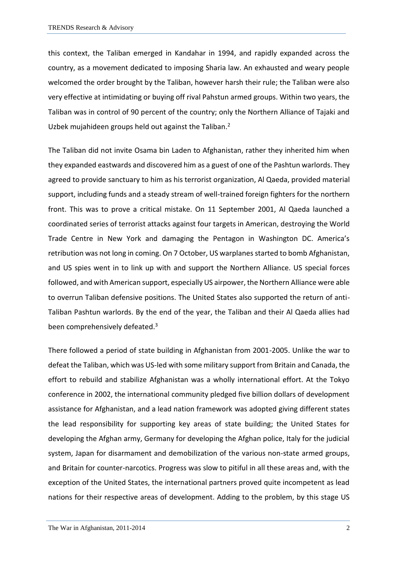this context, the Taliban emerged in Kandahar in 1994, and rapidly expanded across the country, as a movement dedicated to imposing Sharia law. An exhausted and weary people welcomed the order brought by the Taliban, however harsh their rule; the Taliban were also very effective at intimidating or buying off rival Pahstun armed groups. Within two years, the Taliban was in control of 90 percent of the country; only the Northern Alliance of Tajaki and Uzbek mujahideen groups held out against the Taliban.<sup>2</sup>

The Taliban did not invite Osama bin Laden to Afghanistan, rather they inherited him when they expanded eastwards and discovered him as a guest of one of the Pashtun warlords. They agreed to provide sanctuary to him as his terrorist organization, Al Qaeda, provided material support, including funds and a steady stream of well-trained foreign fighters for the northern front. This was to prove a critical mistake. On 11 September 2001, Al Qaeda launched a coordinated series of terrorist attacks against four targets in American, destroying the World Trade Centre in New York and damaging the Pentagon in Washington DC. America's retribution was not long in coming. On 7 October, US warplanes started to bomb Afghanistan, and US spies went in to link up with and support the Northern Alliance. US special forces followed, and with American support, especially US airpower, the Northern Alliance were able to overrun Taliban defensive positions. The United States also supported the return of anti-Taliban Pashtun warlords. By the end of the year, the Taliban and their Al Qaeda allies had been comprehensively defeated.<sup>3</sup>

There followed a period of state building in Afghanistan from 2001-2005. Unlike the war to defeat the Taliban, which was US-led with some military support from Britain and Canada, the effort to rebuild and stabilize Afghanistan was a wholly international effort. At the Tokyo conference in 2002, the international community pledged five billion dollars of development assistance for Afghanistan, and a lead nation framework was adopted giving different states the lead responsibility for supporting key areas of state building; the United States for developing the Afghan army, Germany for developing the Afghan police, Italy for the judicial system, Japan for disarmament and demobilization of the various non-state armed groups, and Britain for counter-narcotics. Progress was slow to pitiful in all these areas and, with the exception of the United States, the international partners proved quite incompetent as lead nations for their respective areas of development. Adding to the problem, by this stage US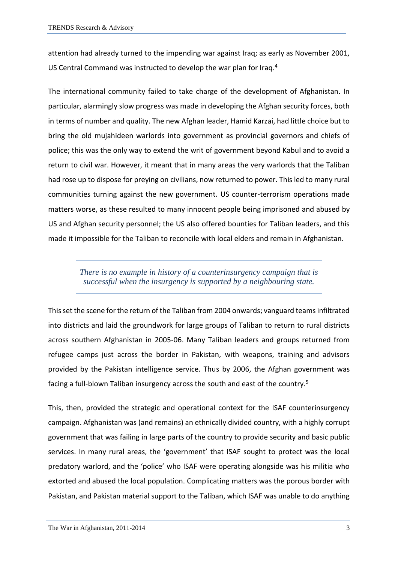attention had already turned to the impending war against Iraq; as early as November 2001, US Central Command was instructed to develop the war plan for Iraq.<sup>4</sup>

The international community failed to take charge of the development of Afghanistan. In particular, alarmingly slow progress was made in developing the Afghan security forces, both in terms of number and quality. The new Afghan leader, Hamid Karzai, had little choice but to bring the old mujahideen warlords into government as provincial governors and chiefs of police; this was the only way to extend the writ of government beyond Kabul and to avoid a return to civil war. However, it meant that in many areas the very warlords that the Taliban had rose up to dispose for preying on civilians, now returned to power. This led to many rural communities turning against the new government. US counter-terrorism operations made matters worse, as these resulted to many innocent people being imprisoned and abused by US and Afghan security personnel; the US also offered bounties for Taliban leaders, and this made it impossible for the Taliban to reconcile with local elders and remain in Afghanistan.

> *There is no example in history of a counterinsurgency campaign that is successful when the insurgency is supported by a neighbouring state.*

This set the scene for the return of the Taliban from 2004 onwards; vanguard teams infiltrated into districts and laid the groundwork for large groups of Taliban to return to rural districts across southern Afghanistan in 2005-06. Many Taliban leaders and groups returned from refugee camps just across the border in Pakistan, with weapons, training and advisors provided by the Pakistan intelligence service. Thus by 2006, the Afghan government was facing a full-blown Taliban insurgency across the south and east of the country.<sup>5</sup>

This, then, provided the strategic and operational context for the ISAF counterinsurgency campaign. Afghanistan was (and remains) an ethnically divided country, with a highly corrupt government that was failing in large parts of the country to provide security and basic public services. In many rural areas, the 'government' that ISAF sought to protect was the local predatory warlord, and the 'police' who ISAF were operating alongside was his militia who extorted and abused the local population. Complicating matters was the porous border with Pakistan, and Pakistan material support to the Taliban, which ISAF was unable to do anything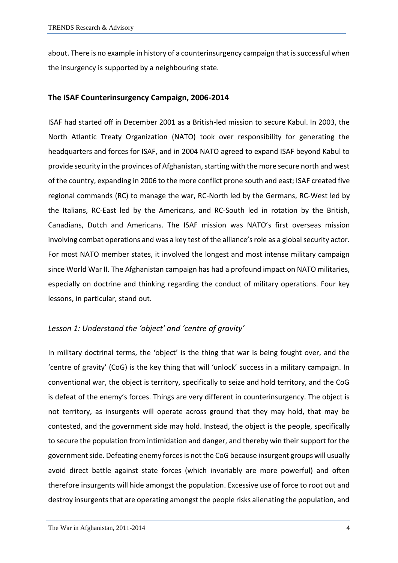about. There is no example in history of a counterinsurgency campaign that is successful when the insurgency is supported by a neighbouring state.

#### **The ISAF Counterinsurgency Campaign, 2006-2014**

ISAF had started off in December 2001 as a British-led mission to secure Kabul. In 2003, the North Atlantic Treaty Organization (NATO) took over responsibility for generating the headquarters and forces for ISAF, and in 2004 NATO agreed to expand ISAF beyond Kabul to provide security in the provinces of Afghanistan, starting with the more secure north and west of the country, expanding in 2006 to the more conflict prone south and east; ISAF created five regional commands (RC) to manage the war, RC-North led by the Germans, RC-West led by the Italians, RC-East led by the Americans, and RC-South led in rotation by the British, Canadians, Dutch and Americans. The ISAF mission was NATO's first overseas mission involving combat operations and was a key test of the alliance's role as a global security actor. For most NATO member states, it involved the longest and most intense military campaign since World War II. The Afghanistan campaign has had a profound impact on NATO militaries, especially on doctrine and thinking regarding the conduct of military operations. Four key lessons, in particular, stand out.

#### *Lesson 1: Understand the 'object' and 'centre of gravity'*

In military doctrinal terms, the 'object' is the thing that war is being fought over, and the 'centre of gravity' (CoG) is the key thing that will 'unlock' success in a military campaign. In conventional war, the object is territory, specifically to seize and hold territory, and the CoG is defeat of the enemy's forces. Things are very different in counterinsurgency. The object is not territory, as insurgents will operate across ground that they may hold, that may be contested, and the government side may hold. Instead, the object is the people, specifically to secure the population from intimidation and danger, and thereby win their support for the government side. Defeating enemy forces is not the CoG because insurgent groups will usually avoid direct battle against state forces (which invariably are more powerful) and often therefore insurgents will hide amongst the population. Excessive use of force to root out and destroy insurgents that are operating amongst the people risks alienating the population, and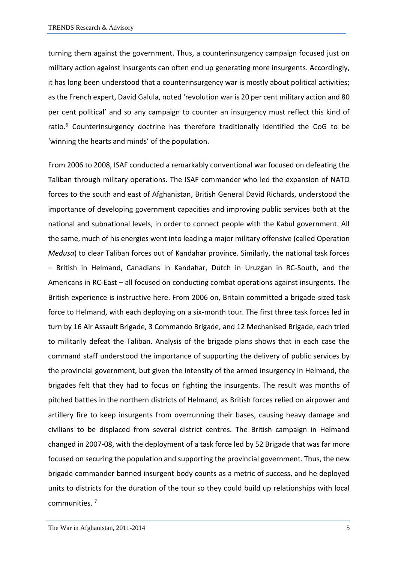turning them against the government. Thus, a counterinsurgency campaign focused just on military action against insurgents can often end up generating more insurgents. Accordingly, it has long been understood that a counterinsurgency war is mostly about political activities; as the French expert, David Galula, noted 'revolution war is 20 per cent military action and 80 per cent political' and so any campaign to counter an insurgency must reflect this kind of ratio. $6$  Counterinsurgency doctrine has therefore traditionally identified the CoG to be 'winning the hearts and minds' of the population.

From 2006 to 2008, ISAF conducted a remarkably conventional war focused on defeating the Taliban through military operations. The ISAF commander who led the expansion of NATO forces to the south and east of Afghanistan, British General David Richards, understood the importance of developing government capacities and improving public services both at the national and subnational levels, in order to connect people with the Kabul government. All the same, much of his energies went into leading a major military offensive (called Operation *Medusa*) to clear Taliban forces out of Kandahar province. Similarly, the national task forces – British in Helmand, Canadians in Kandahar, Dutch in Uruzgan in RC-South, and the Americans in RC-East – all focused on conducting combat operations against insurgents. The British experience is instructive here. From 2006 on, Britain committed a brigade-sized task force to Helmand, with each deploying on a six-month tour. The first three task forces led in turn by 16 Air Assault Brigade, 3 Commando Brigade, and 12 Mechanised Brigade, each tried to militarily defeat the Taliban. Analysis of the brigade plans shows that in each case the command staff understood the importance of supporting the delivery of public services by the provincial government, but given the intensity of the armed insurgency in Helmand, the brigades felt that they had to focus on fighting the insurgents. The result was months of pitched battles in the northern districts of Helmand, as British forces relied on airpower and artillery fire to keep insurgents from overrunning their bases, causing heavy damage and civilians to be displaced from several district centres. The British campaign in Helmand changed in 2007-08, with the deployment of a task force led by 52 Brigade that was far more focused on securing the population and supporting the provincial government. Thus, the new brigade commander banned insurgent body counts as a metric of success, and he deployed units to districts for the duration of the tour so they could build up relationships with local communities. 7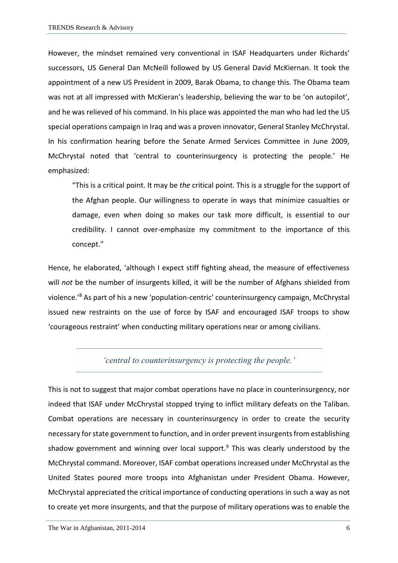However, the mindset remained very conventional in ISAF Headquarters under Richards' successors, US General Dan McNeill followed by US General David McKiernan. It took the appointment of a new US President in 2009, Barak Obama, to change this. The Obama team was not at all impressed with McKieran's leadership, believing the war to be 'on autopilot', and he was relieved of his command. In his place was appointed the man who had led the US special operations campaign in Iraq and was a proven innovator, General Stanley McChrystal. In his confirmation hearing before the Senate Armed Services Committee in June 2009, McChrystal noted that 'central to counterinsurgency is protecting the people.' He emphasized:

"This is a critical point. It may be *the* critical point. This is a struggle for the support of the Afghan people. Our willingness to operate in ways that minimize casualties or damage, even when doing so makes our task more difficult, is essential to our credibility. I cannot over-emphasize my commitment to the importance of this concept."

Hence, he elaborated, 'although I expect stiff fighting ahead, the measure of effectiveness will *not* be the number of insurgents killed, it will be the number of Afghans shielded from violence.'<sup>8</sup> As part of his a new 'population-centric' counterinsurgency campaign, McChrystal issued new restraints on the use of force by ISAF and encouraged ISAF troops to show 'courageous restraint' when conducting military operations near or among civilians.

#### *'central to counterinsurgency is protecting the people.'*

This is not to suggest that major combat operations have no place in counterinsurgency, nor indeed that ISAF under McChrystal stopped trying to inflict military defeats on the Taliban. Combat operations are necessary in counterinsurgency in order to create the security necessary for state government to function, and in order prevent insurgents from establishing shadow government and winning over local support. $9$  This was clearly understood by the McChrystal command. Moreover, ISAF combat operations increased under McChrystal as the United States poured more troops into Afghanistan under President Obama. However, McChrystal appreciated the critical importance of conducting operations in such a way as not to create yet more insurgents, and that the purpose of military operations was to enable the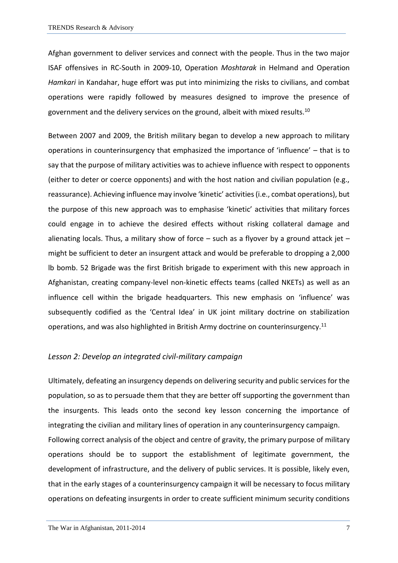Afghan government to deliver services and connect with the people. Thus in the two major ISAF offensives in RC-South in 2009-10, Operation *Moshtarak* in Helmand and Operation *Hamkari* in Kandahar, huge effort was put into minimizing the risks to civilians, and combat operations were rapidly followed by measures designed to improve the presence of government and the delivery services on the ground, albeit with mixed results.<sup>10</sup>

Between 2007 and 2009, the British military began to develop a new approach to military operations in counterinsurgency that emphasized the importance of 'influence' – that is to say that the purpose of military activities was to achieve influence with respect to opponents (either to deter or coerce opponents) and with the host nation and civilian population (e.g., reassurance). Achieving influence may involve 'kinetic' activities (i.e., combat operations), but the purpose of this new approach was to emphasise 'kinetic' activities that military forces could engage in to achieve the desired effects without risking collateral damage and alienating locals. Thus, a military show of force  $-$  such as a flyover by a ground attack jet  $$ might be sufficient to deter an insurgent attack and would be preferable to dropping a 2,000 lb bomb. 52 Brigade was the first British brigade to experiment with this new approach in Afghanistan, creating company-level non-kinetic effects teams (called NKETs) as well as an influence cell within the brigade headquarters. This new emphasis on 'influence' was subsequently codified as the 'Central Idea' in UK joint military doctrine on stabilization operations, and was also highlighted in British Army doctrine on counterinsurgency.<sup>11</sup>

#### *Lesson 2: Develop an integrated civil-military campaign*

Ultimately, defeating an insurgency depends on delivering security and public services for the population, so as to persuade them that they are better off supporting the government than the insurgents. This leads onto the second key lesson concerning the importance of integrating the civilian and military lines of operation in any counterinsurgency campaign. Following correct analysis of the object and centre of gravity, the primary purpose of military operations should be to support the establishment of legitimate government, the development of infrastructure, and the delivery of public services. It is possible, likely even, that in the early stages of a counterinsurgency campaign it will be necessary to focus military operations on defeating insurgents in order to create sufficient minimum security conditions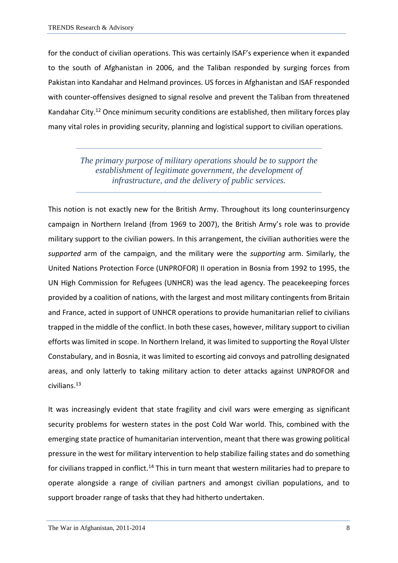for the conduct of civilian operations. This was certainly ISAF's experience when it expanded to the south of Afghanistan in 2006, and the Taliban responded by surging forces from Pakistan into Kandahar and Helmand provinces. US forces in Afghanistan and ISAF responded with counter-offensives designed to signal resolve and prevent the Taliban from threatened Kandahar City.<sup>12</sup> Once minimum security conditions are established, then military forces play many vital roles in providing security, planning and logistical support to civilian operations.

## *The primary purpose of military operations should be to support the establishment of legitimate government, the development of infrastructure, and the delivery of public services.*

This notion is not exactly new for the British Army. Throughout its long counterinsurgency campaign in Northern Ireland (from 1969 to 2007), the British Army's role was to provide military support to the civilian powers. In this arrangement, the civilian authorities were the *supported* arm of the campaign, and the military were the *supporting* arm. Similarly, the United Nations Protection Force (UNPROFOR) II operation in Bosnia from 1992 to 1995, the UN High Commission for Refugees (UNHCR) was the lead agency. The peacekeeping forces provided by a coalition of nations, with the largest and most military contingents from Britain and France, acted in support of UNHCR operations to provide humanitarian relief to civilians trapped in the middle of the conflict. In both these cases, however, military support to civilian efforts was limited in scope. In Northern Ireland, it was limited to supporting the Royal Ulster Constabulary, and in Bosnia, it was limited to escorting aid convoys and patrolling designated areas, and only latterly to taking military action to deter attacks against UNPROFOR and civilians.<sup>13</sup>

It was increasingly evident that state fragility and civil wars were emerging as significant security problems for western states in the post Cold War world. This, combined with the emerging state practice of humanitarian intervention, meant that there was growing political pressure in the west for military intervention to help stabilize failing states and do something for civilians trapped in conflict.<sup>14</sup> This in turn meant that western militaries had to prepare to operate alongside a range of civilian partners and amongst civilian populations, and to support broader range of tasks that they had hitherto undertaken.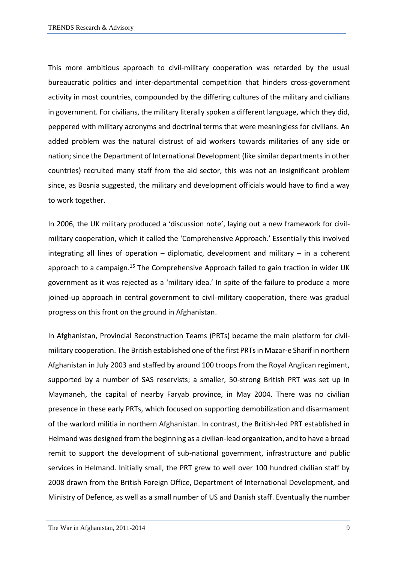This more ambitious approach to civil-military cooperation was retarded by the usual bureaucratic politics and inter-departmental competition that hinders cross-government activity in most countries, compounded by the differing cultures of the military and civilians in government. For civilians, the military literally spoken a different language, which they did, peppered with military acronyms and doctrinal terms that were meaningless for civilians. An added problem was the natural distrust of aid workers towards militaries of any side or nation; since the Department of International Development (like similar departments in other countries) recruited many staff from the aid sector, this was not an insignificant problem since, as Bosnia suggested, the military and development officials would have to find a way to work together.

In 2006, the UK military produced a 'discussion note', laying out a new framework for civilmilitary cooperation, which it called the 'Comprehensive Approach.' Essentially this involved integrating all lines of operation  $-$  diplomatic, development and military  $-$  in a coherent approach to a campaign.<sup>15</sup> The Comprehensive Approach failed to gain traction in wider UK government as it was rejected as a 'military idea.' In spite of the failure to produce a more joined-up approach in central government to civil-military cooperation, there was gradual progress on this front on the ground in Afghanistan.

In Afghanistan, Provincial Reconstruction Teams (PRTs) became the main platform for civilmilitary cooperation. The British established one of the first PRTs in Mazar-e Sharif in northern Afghanistan in July 2003 and staffed by around 100 troops from the Royal Anglican regiment, supported by a number of SAS reservists; a smaller, 50-strong British PRT was set up in Maymaneh, the capital of nearby Faryab province, in May 2004. There was no civilian presence in these early PRTs, which focused on supporting demobilization and disarmament of the warlord militia in northern Afghanistan. In contrast, the British-led PRT established in Helmand was designed from the beginning as a civilian-lead organization, and to have a broad remit to support the development of sub-national government, infrastructure and public services in Helmand. Initially small, the PRT grew to well over 100 hundred civilian staff by 2008 drawn from the British Foreign Office, Department of International Development, and Ministry of Defence, as well as a small number of US and Danish staff. Eventually the number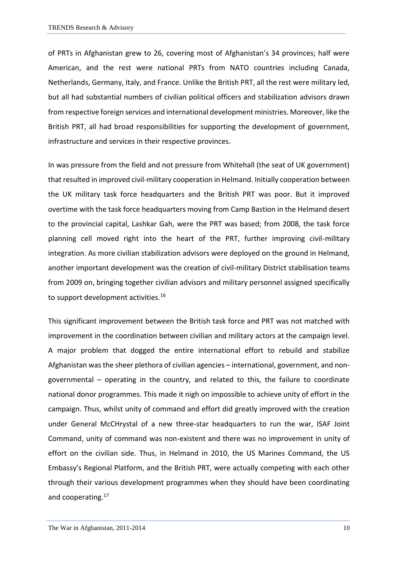of PRTs in Afghanistan grew to 26, covering most of Afghanistan's 34 provinces; half were American, and the rest were national PRTs from NATO countries including Canada, Netherlands, Germany, Italy, and France. Unlike the British PRT, all the rest were military led, but all had substantial numbers of civilian political officers and stabilization advisors drawn from respective foreign services and international development ministries. Moreover, like the British PRT, all had broad responsibilities for supporting the development of government, infrastructure and services in their respective provinces.

In was pressure from the field and not pressure from Whitehall (the seat of UK government) that resulted in improved civil-military cooperation in Helmand. Initially cooperation between the UK military task force headquarters and the British PRT was poor. But it improved overtime with the task force headquarters moving from Camp Bastion in the Helmand desert to the provincial capital, Lashkar Gah, were the PRT was based; from 2008, the task force planning cell moved right into the heart of the PRT, further improving civil-military integration. As more civilian stabilization advisors were deployed on the ground in Helmand, another important development was the creation of civil-military District stabilisation teams from 2009 on, bringing together civilian advisors and military personnel assigned specifically to support development activities.<sup>16</sup>

This significant improvement between the British task force and PRT was not matched with improvement in the coordination between civilian and military actors at the campaign level. A major problem that dogged the entire international effort to rebuild and stabilize Afghanistan was the sheer plethora of civilian agencies – international, government, and nongovernmental – operating in the country, and related to this, the failure to coordinate national donor programmes. This made it nigh on impossible to achieve unity of effort in the campaign. Thus, whilst unity of command and effort did greatly improved with the creation under General McCHrystal of a new three-star headquarters to run the war, ISAF Joint Command, unity of command was non-existent and there was no improvement in unity of effort on the civilian side. Thus, in Helmand in 2010, the US Marines Command, the US Embassy's Regional Platform, and the British PRT, were actually competing with each other through their various development programmes when they should have been coordinating and cooperating.<sup>17</sup>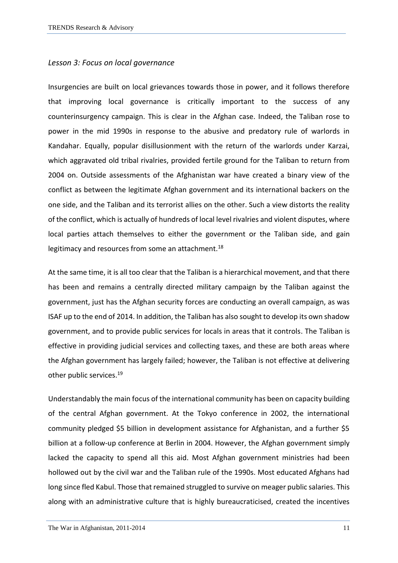#### *Lesson 3: Focus on local governance*

Insurgencies are built on local grievances towards those in power, and it follows therefore that improving local governance is critically important to the success of any counterinsurgency campaign. This is clear in the Afghan case. Indeed, the Taliban rose to power in the mid 1990s in response to the abusive and predatory rule of warlords in Kandahar. Equally, popular disillusionment with the return of the warlords under Karzai, which aggravated old tribal rivalries, provided fertile ground for the Taliban to return from 2004 on. Outside assessments of the Afghanistan war have created a binary view of the conflict as between the legitimate Afghan government and its international backers on the one side, and the Taliban and its terrorist allies on the other. Such a view distorts the reality of the conflict, which is actually of hundreds of local level rivalries and violent disputes, where local parties attach themselves to either the government or the Taliban side, and gain legitimacy and resources from some an attachment.<sup>18</sup>

At the same time, it is all too clear that the Taliban is a hierarchical movement, and that there has been and remains a centrally directed military campaign by the Taliban against the government, just has the Afghan security forces are conducting an overall campaign, as was ISAF up to the end of 2014. In addition, the Taliban has also sought to develop its own shadow government, and to provide public services for locals in areas that it controls. The Taliban is effective in providing judicial services and collecting taxes, and these are both areas where the Afghan government has largely failed; however, the Taliban is not effective at delivering other public services.<sup>19</sup>

Understandably the main focus of the international community has been on capacity building of the central Afghan government. At the Tokyo conference in 2002, the international community pledged \$5 billion in development assistance for Afghanistan, and a further \$5 billion at a follow-up conference at Berlin in 2004. However, the Afghan government simply lacked the capacity to spend all this aid. Most Afghan government ministries had been hollowed out by the civil war and the Taliban rule of the 1990s. Most educated Afghans had long since fled Kabul. Those that remained struggled to survive on meager public salaries. This along with an administrative culture that is highly bureaucraticised, created the incentives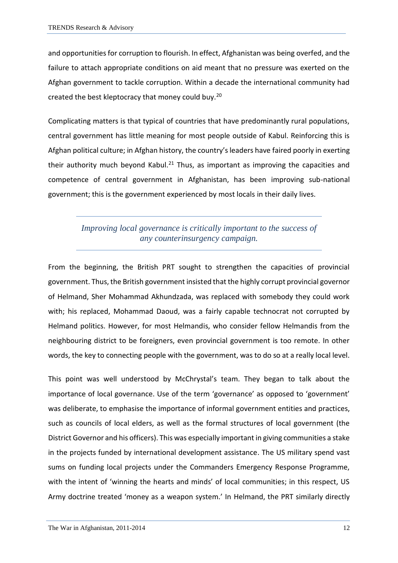and opportunities for corruption to flourish. In effect, Afghanistan was being overfed, and the failure to attach appropriate conditions on aid meant that no pressure was exerted on the Afghan government to tackle corruption. Within a decade the international community had created the best kleptocracy that money could buy.<sup>20</sup>

Complicating matters is that typical of countries that have predominantly rural populations, central government has little meaning for most people outside of Kabul. Reinforcing this is Afghan political culture; in Afghan history, the country's leaders have faired poorly in exerting their authority much beyond Kabul.<sup>21</sup> Thus, as important as improving the capacities and competence of central government in Afghanistan, has been improving sub-national government; this is the government experienced by most locals in their daily lives.

> *Improving local governance is critically important to the success of any counterinsurgency campaign.*

From the beginning, the British PRT sought to strengthen the capacities of provincial government. Thus, the British government insisted that the highly corrupt provincial governor of Helmand, Sher Mohammad Akhundzada, was replaced with somebody they could work with; his replaced, Mohammad Daoud, was a fairly capable technocrat not corrupted by Helmand politics. However, for most Helmandis, who consider fellow Helmandis from the neighbouring district to be foreigners, even provincial government is too remote. In other words, the key to connecting people with the government, was to do so at a really local level.

This point was well understood by McChrystal's team. They began to talk about the importance of local governance. Use of the term 'governance' as opposed to 'government' was deliberate, to emphasise the importance of informal government entities and practices, such as councils of local elders, as well as the formal structures of local government (the District Governor and his officers). This was especially important in giving communities a stake in the projects funded by international development assistance. The US military spend vast sums on funding local projects under the Commanders Emergency Response Programme, with the intent of 'winning the hearts and minds' of local communities; in this respect, US Army doctrine treated 'money as a weapon system.' In Helmand, the PRT similarly directly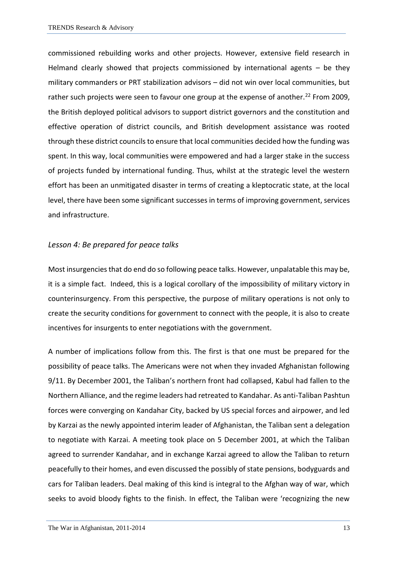commissioned rebuilding works and other projects. However, extensive field research in Helmand clearly showed that projects commissioned by international agents – be they military commanders or PRT stabilization advisors – did not win over local communities, but rather such projects were seen to favour one group at the expense of another.<sup>22</sup> From 2009, the British deployed political advisors to support district governors and the constitution and effective operation of district councils, and British development assistance was rooted through these district councils to ensure that local communities decided how the funding was spent. In this way, local communities were empowered and had a larger stake in the success of projects funded by international funding. Thus, whilst at the strategic level the western effort has been an unmitigated disaster in terms of creating a kleptocratic state, at the local level, there have been some significant successes in terms of improving government, services and infrastructure.

#### *Lesson 4: Be prepared for peace talks*

Most insurgencies that do end do so following peace talks. However, unpalatable this may be, it is a simple fact. Indeed, this is a logical corollary of the impossibility of military victory in counterinsurgency. From this perspective, the purpose of military operations is not only to create the security conditions for government to connect with the people, it is also to create incentives for insurgents to enter negotiations with the government.

A number of implications follow from this. The first is that one must be prepared for the possibility of peace talks. The Americans were not when they invaded Afghanistan following 9/11. By December 2001, the Taliban's northern front had collapsed, Kabul had fallen to the Northern Alliance, and the regime leaders had retreated to Kandahar. As anti-Taliban Pashtun forces were converging on Kandahar City, backed by US special forces and airpower, and led by Karzai as the newly appointed interim leader of Afghanistan, the Taliban sent a delegation to negotiate with Karzai. A meeting took place on 5 December 2001, at which the Taliban agreed to surrender Kandahar, and in exchange Karzai agreed to allow the Taliban to return peacefully to their homes, and even discussed the possibly of state pensions, bodyguards and cars for Taliban leaders. Deal making of this kind is integral to the Afghan way of war, which seeks to avoid bloody fights to the finish. In effect, the Taliban were 'recognizing the new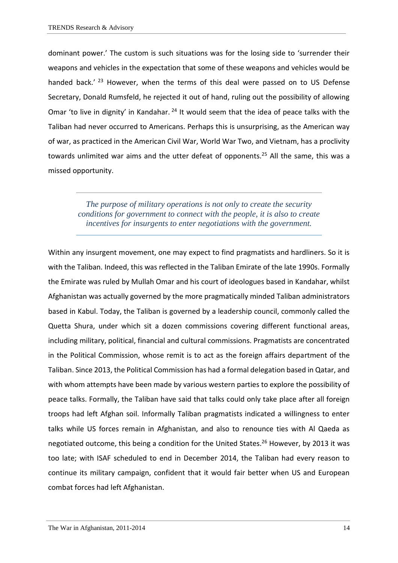dominant power.' The custom is such situations was for the losing side to 'surrender their weapons and vehicles in the expectation that some of these weapons and vehicles would be handed back.' <sup>23</sup> However, when the terms of this deal were passed on to US Defense Secretary, Donald Rumsfeld, he rejected it out of hand, ruling out the possibility of allowing Omar 'to live in dignity' in Kandahar. <sup>24</sup> It would seem that the idea of peace talks with the Taliban had never occurred to Americans. Perhaps this is unsurprising, as the American way of war, as practiced in the American Civil War, World War Two, and Vietnam, has a proclivity towards unlimited war aims and the utter defeat of opponents.<sup>25</sup> All the same, this was a missed opportunity.

*The purpose of military operations is not only to create the security conditions for government to connect with the people, it is also to create incentives for insurgents to enter negotiations with the government.*

Within any insurgent movement, one may expect to find pragmatists and hardliners. So it is with the Taliban. Indeed, this was reflected in the Taliban Emirate of the late 1990s. Formally the Emirate was ruled by Mullah Omar and his court of ideologues based in Kandahar, whilst Afghanistan was actually governed by the more pragmatically minded Taliban administrators based in Kabul. Today, the Taliban is governed by a leadership council, commonly called the Quetta Shura, under which sit a dozen commissions covering different functional areas, including military, political, financial and cultural commissions. Pragmatists are concentrated in the Political Commission, whose remit is to act as the foreign affairs department of the Taliban. Since 2013, the Political Commission has had a formal delegation based in Qatar, and with whom attempts have been made by various western parties to explore the possibility of peace talks. Formally, the Taliban have said that talks could only take place after all foreign troops had left Afghan soil. Informally Taliban pragmatists indicated a willingness to enter talks while US forces remain in Afghanistan, and also to renounce ties with Al Qaeda as negotiated outcome, this being a condition for the United States.<sup>26</sup> However, by 2013 it was too late; with ISAF scheduled to end in December 2014, the Taliban had every reason to continue its military campaign, confident that it would fair better when US and European combat forces had left Afghanistan.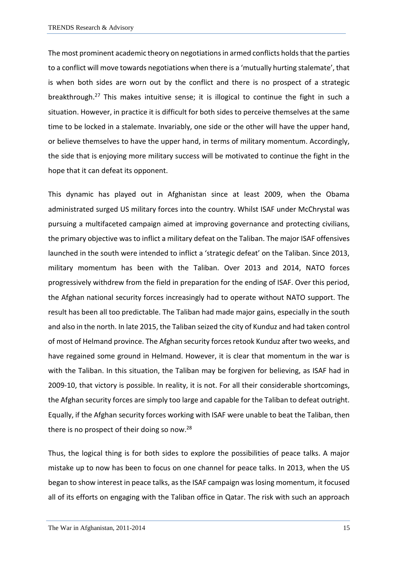The most prominent academic theory on negotiations in armed conflicts holds that the parties to a conflict will move towards negotiations when there is a 'mutually hurting stalemate', that is when both sides are worn out by the conflict and there is no prospect of a strategic breakthrough.<sup>27</sup> This makes intuitive sense; it is illogical to continue the fight in such a situation. However, in practice it is difficult for both sides to perceive themselves at the same time to be locked in a stalemate. Invariably, one side or the other will have the upper hand, or believe themselves to have the upper hand, in terms of military momentum. Accordingly, the side that is enjoying more military success will be motivated to continue the fight in the hope that it can defeat its opponent.

This dynamic has played out in Afghanistan since at least 2009, when the Obama administrated surged US military forces into the country. Whilst ISAF under McChrystal was pursuing a multifaceted campaign aimed at improving governance and protecting civilians, the primary objective was to inflict a military defeat on the Taliban. The major ISAF offensives launched in the south were intended to inflict a 'strategic defeat' on the Taliban. Since 2013, military momentum has been with the Taliban. Over 2013 and 2014, NATO forces progressively withdrew from the field in preparation for the ending of ISAF. Over this period, the Afghan national security forces increasingly had to operate without NATO support. The result has been all too predictable. The Taliban had made major gains, especially in the south and also in the north. In late 2015, the Taliban seized the city of Kunduz and had taken control of most of Helmand province. The Afghan security forces retook Kunduz after two weeks, and have regained some ground in Helmand. However, it is clear that momentum in the war is with the Taliban. In this situation, the Taliban may be forgiven for believing, as ISAF had in 2009-10, that victory is possible. In reality, it is not. For all their considerable shortcomings, the Afghan security forces are simply too large and capable for the Taliban to defeat outright. Equally, if the Afghan security forces working with ISAF were unable to beat the Taliban, then there is no prospect of their doing so now.<sup>28</sup>

Thus, the logical thing is for both sides to explore the possibilities of peace talks. A major mistake up to now has been to focus on one channel for peace talks. In 2013, when the US began to show interest in peace talks, as the ISAF campaign was losing momentum, it focused all of its efforts on engaging with the Taliban office in Qatar. The risk with such an approach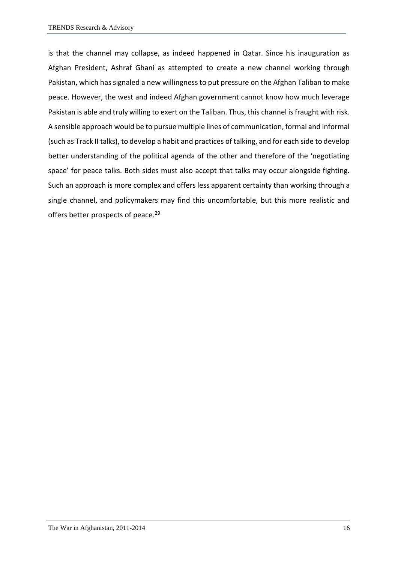is that the channel may collapse, as indeed happened in Qatar. Since his inauguration as Afghan President, Ashraf Ghani as attempted to create a new channel working through Pakistan, which has signaled a new willingness to put pressure on the Afghan Taliban to make peace. However, the west and indeed Afghan government cannot know how much leverage Pakistan is able and truly willing to exert on the Taliban. Thus, this channel is fraught with risk. A sensible approach would be to pursue multiple lines of communication, formal and informal (such as Track II talks), to develop a habit and practices of talking, and for each side to develop better understanding of the political agenda of the other and therefore of the 'negotiating space' for peace talks. Both sides must also accept that talks may occur alongside fighting. Such an approach is more complex and offers less apparent certainty than working through a single channel, and policymakers may find this uncomfortable, but this more realistic and offers better prospects of peace.<sup>29</sup>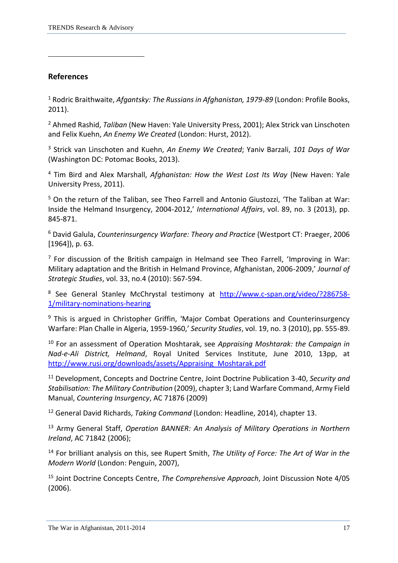## **References**

1

<sup>1</sup> Rodric Braithwaite, *Afgantsky: The Russians in Afghanistan, 1979-89* (London: Profile Books, 2011).

<sup>2</sup> Ahmed Rashid, *Taliban* (New Haven: Yale University Press, 2001); Alex Strick van Linschoten and Felix Kuehn, *An Enemy We Created* (London: Hurst, 2012).

<sup>3</sup> Strick van Linschoten and Kuehn, *An Enemy We Created*; Yaniv Barzali, *101 Days of War* (Washington DC: Potomac Books, 2013).

<sup>4</sup> Tim Bird and Alex Marshall, *Afghanistan: How the West Lost Its Way* (New Haven: Yale University Press, 2011).

<sup>5</sup> On the return of the Taliban, see Theo Farrell and Antonio Giustozzi, 'The Taliban at War: Inside the Helmand Insurgency, 2004-2012,' *International Affairs*, vol. 89, no. 3 (2013), pp. 845-871.

<sup>6</sup> David Galula, *Counterinsurgency Warfare: Theory and Practice* (Westport CT: Praeger, 2006 [1964]), p. 63.

 $<sup>7</sup>$  For discussion of the British campaign in Helmand see Theo Farrell, 'Improving in War:</sup> Military adaptation and the British in Helmand Province, Afghanistan, 2006-2009,' *Journal of Strategic Studies*, vol. 33, no.4 (2010): 567-594.

<sup>8</sup> See General Stanley McChrystal testimony at [http://www.c-span.org/video/?286758-](http://www.c-span.org/video/?286758-1/military-nominations-hearing) [1/military-nominations-hearing](http://www.c-span.org/video/?286758-1/military-nominations-hearing)

<sup>9</sup> This is argued in Christopher Griffin, 'Maior Combat Operations and Counterinsurgency Warfare: Plan Challe in Algeria, 1959-1960,' *Security Studies*, vol. 19, no. 3 (2010), pp. 555-89.

<sup>10</sup> For an assessment of Operation Moshtarak, see *Appraising Moshtarak: the Campaign in Nad-e-Ali District, Helmand*, Royal United Services Institute, June 2010, 13pp, at [http://www.rusi.org/downloads/assets/Appraising\\_Moshtarak.pdf](http://www.rusi.org/downloads/assets/Appraising_Moshtarak.pdf)

<sup>11</sup> Development, Concepts and Doctrine Centre, Joint Doctrine Publication 3-40, *Security and Stabilisation: The Military Contribution* (2009), chapter 3; Land Warfare Command, Army Field Manual, *Countering Insurgency*, AC 71876 (2009)

<sup>12</sup> General David Richards, *Taking Command* (London: Headline, 2014), chapter 13.

<sup>13</sup> Army General Staff, *Operation BANNER: An Analysis of Military Operations in Northern Ireland*, AC 71842 (2006);

<sup>14</sup> For brilliant analysis on this, see Rupert Smith, *The Utility of Force: The Art of War in the Modern World* (London: Penguin, 2007),

<sup>15</sup> Joint Doctrine Concepts Centre, *The Comprehensive Approach*, Joint Discussion Note 4/05 (2006).